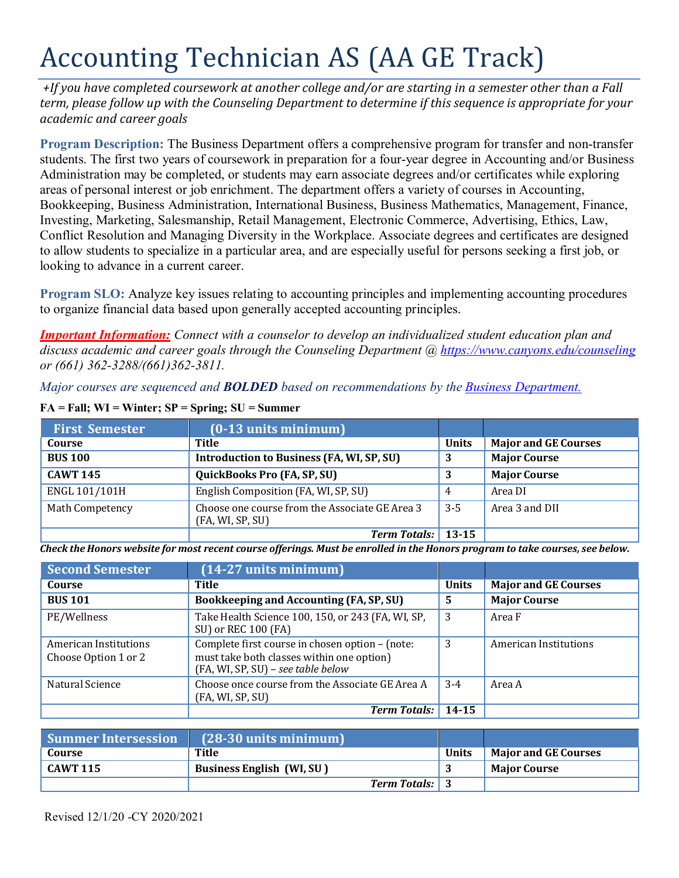# Accounting Technician AS (AA GE Track)

*+If you have completed coursework at another college and/or are starting in a semester other than a Fall term, please follow up with the Counseling Department to determine if this sequence is appropriate for your academic and career goals*

**Program Description:** The Business Department offers a comprehensive program for transfer and non-transfer students. The first two years of coursework in preparation for a four-year degree in Accounting and/or Business Administration may be completed, or students may earn associate degrees and/or certificates while exploring areas of personal interest or job enrichment. The department offers a variety of courses in Accounting, Bookkeeping, Business Administration, International Business, Business Mathematics, Management, Finance, Investing, Marketing, Salesmanship, Retail Management, Electronic Commerce, Advertising, Ethics, Law, Conflict Resolution and Managing Diversity in the Workplace. Associate degrees and certificates are designed to allow students to specialize in a particular area, and are especially useful for persons seeking a first job, or looking to advance in a current career.

**Program SLO:** Analyze key issues relating to accounting principles and implementing accounting procedures to organize financial data based upon generally accepted accounting principles.

*Important Information: Connect with a counselor to develop an individualized student education plan and discuss academic and career goals through the Counseling Department @<https://www.canyons.edu/counseling> or (661) 362-3288/(661)362-3811.*

*Major courses are sequenced and BOLDED based on recommendations by the [Business Department.](https://www.canyons.edu/academics/schools/business/)*

| <b>First Semester</b> | $(0-13$ units minimum)                                             |              |                             |
|-----------------------|--------------------------------------------------------------------|--------------|-----------------------------|
| Course                | Title                                                              | <b>Units</b> | <b>Major and GE Courses</b> |
| <b>BUS 100</b>        | Introduction to Business (FA, WI, SP, SU)                          | 3            | <b>Major Course</b>         |
| <b>CAWT 145</b>       | <b>QuickBooks Pro (FA, SP, SU)</b>                                 |              | <b>Major Course</b>         |
| ENGL 101/101H         | English Composition (FA, WI, SP, SU)                               | 4            | Area DI                     |
| Math Competency       | Choose one course from the Associate GE Area 3<br>(FA, WI, SP, SU) | $3 - 5$      | Area 3 and DII              |
|                       | Term Totals: 13-15                                                 |              |                             |

#### **FA = Fall; WI = Winter; SP = Spring; SU = Summer**

Check the Honors website for most recent course offerings. Must be enrolled in the Honors program to take courses, see below.

| <b>Second Semester</b>                        | $(14-27$ units minimum)                                                                                                            |              |                             |
|-----------------------------------------------|------------------------------------------------------------------------------------------------------------------------------------|--------------|-----------------------------|
| Course                                        | Title                                                                                                                              | <b>Units</b> | <b>Major and GE Courses</b> |
| <b>BUS 101</b>                                | Bookkeeping and Accounting (FA, SP, SU)                                                                                            | 5            | <b>Major Course</b>         |
| PE/Wellness                                   | Take Health Science 100, 150, or 243 (FA, WI, SP,<br>SU) or REC 100 (FA)                                                           | 3            | Area F                      |
| American Institutions<br>Choose Option 1 or 2 | Complete first course in chosen option - (note:<br>must take both classes within one option)<br>(FA, WI, SP, SU) - see table below | 3            | American Institutions       |
| Natural Science                               | Choose once course from the Associate GE Area A<br>(FA, WI, SP, SU)                                                                | $3-4$        | Area A                      |
|                                               | <b>Term Totals:</b>                                                                                                                | 14-15        |                             |

| <b>Summer Intersession</b> | $(28-30 \text{ units minimum})$  |              |                             |
|----------------------------|----------------------------------|--------------|-----------------------------|
| Course                     | Title                            | <b>Units</b> | <b>Major and GE Courses</b> |
| $^{\circ}$ CAWT 115        | <b>Business English (WI, SU)</b> |              | <b>Major Course</b>         |
|                            | <b>Term Totals:</b> 3            |              |                             |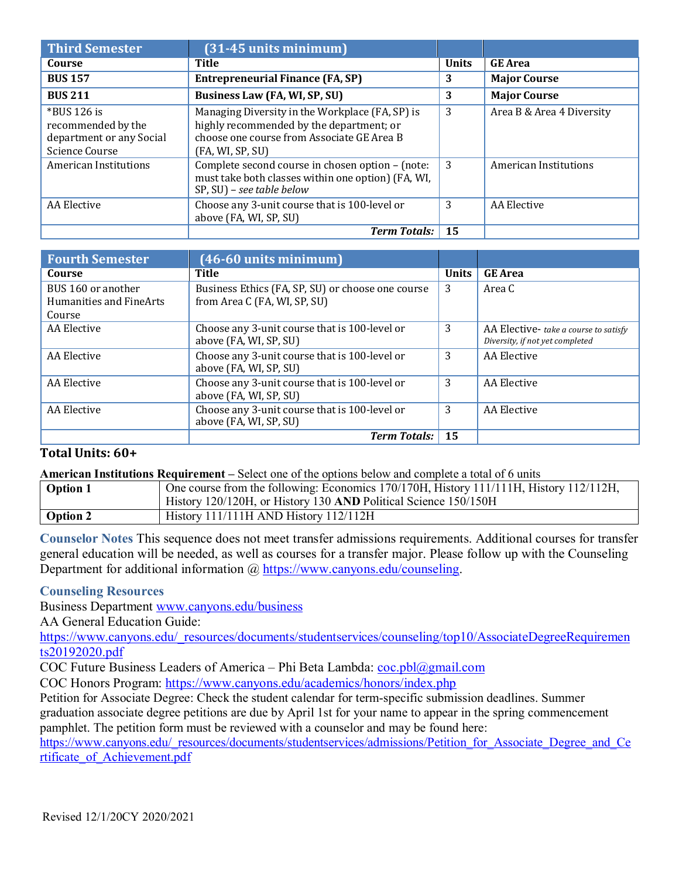| <b>Third Semester</b>                                                              | $(31-45$ units minimum)                                                                                                                                       |              |                           |
|------------------------------------------------------------------------------------|---------------------------------------------------------------------------------------------------------------------------------------------------------------|--------------|---------------------------|
| Course                                                                             | Title                                                                                                                                                         | <b>Units</b> | <b>GE</b> Area            |
| <b>BUS 157</b>                                                                     | <b>Entrepreneurial Finance (FA, SP)</b>                                                                                                                       | 3            | <b>Major Course</b>       |
| <b>BUS 211</b>                                                                     | Business Law (FA, WI, SP, SU)                                                                                                                                 | 3            | <b>Major Course</b>       |
| $*$ BUS 126 is<br>recommended by the<br>department or any Social<br>Science Course | Managing Diversity in the Workplace (FA, SP) is<br>highly recommended by the department; or<br>choose one course from Associate GE Area B<br>(FA, WI, SP, SU) | 3            | Area B & Area 4 Diversity |
| American Institutions                                                              | Complete second course in chosen option - (note:<br>must take both classes within one option) (FA, WI,<br>SP, SU) - see table below                           | 3            | American Institutions     |
| AA Elective                                                                        | Choose any 3-unit course that is 100-level or<br>above (FA, WI, SP, SU)                                                                                       | 3            | AA Elective               |
|                                                                                    | <b>Term Totals:</b>                                                                                                                                           | 15           |                           |

| <b>Fourth Semester</b>                                  | $(46-60$ units minimum)                                                           |              |                                                                          |
|---------------------------------------------------------|-----------------------------------------------------------------------------------|--------------|--------------------------------------------------------------------------|
| Course                                                  | Title                                                                             | <b>Units</b> | <b>GE</b> Area                                                           |
| BUS 160 or another<br>Humanities and FineArts<br>Course | Business Ethics (FA, SP, SU) or choose one course<br>from Area C (FA, WI, SP, SU) | 3            | Area C                                                                   |
| AA Elective                                             | Choose any 3-unit course that is 100-level or<br>above (FA, WI, SP, SU)           | 3            | AA Elective- take a course to satisfy<br>Diversity, if not yet completed |
| AA Elective                                             | Choose any 3-unit course that is 100-level or<br>above (FA, WI, SP, SU)           | 3            | AA Elective                                                              |
| AA Elective                                             | Choose any 3-unit course that is 100-level or<br>above (FA, WI, SP, SU)           | 3            | AA Elective                                                              |
| AA Elective                                             | Choose any 3-unit course that is 100-level or<br>above (FA, WI, SP, SU)           | 3            | AA Elective                                                              |
|                                                         | <b>Term Totals:</b>                                                               | 15           |                                                                          |

## **Total Units: 60+**

**American Institutions Requirement –** Select one of the options below and complete a total of 6 units

| <b>Option 1</b> | One course from the following: Economics 170/170H, History 111/111H, History 112/112H,<br>History 120/120H, or History 130 AND Political Science 150/150H |
|-----------------|-----------------------------------------------------------------------------------------------------------------------------------------------------------|
| <b>Option 2</b> | History 111/111H AND History 112/112H                                                                                                                     |

**Counselor Notes** This sequence does not meet transfer admissions requirements. Additional courses for transfer general education will be needed, as well as courses for a transfer major. Please follow up with the Counseling Department for additional information @ [https://www.canyons.edu/counseling.](https://www.canyons.edu/counseling)

#### **Counseling Resources**

Business Department [www.canyons.edu/business](http://www.canyons.edu/business)

AA General Education Guide:

[https://www.canyons.edu/\\_resources/documents/studentservices/counseling/top10/AssociateDegreeRequiremen](https://www.canyons.edu/_resources/documents/studentservices/counseling/top10/AssociateDegreeRequirements20192020.pdf) [ts20192020.pdf](https://www.canyons.edu/_resources/documents/studentservices/counseling/top10/AssociateDegreeRequirements20192020.pdf)

COC Future Business Leaders of America – Phi Beta Lambda: [coc.pbl@gmail.com](mailto:coc.pbl@gmail.com)

COC Honors Program: <https://www.canyons.edu/academics/honors/index.php>

Petition for Associate Degree: Check the student calendar for term-specific submission deadlines. Summer graduation associate degree petitions are due by April 1st for your name to appear in the spring commencement pamphlet. The petition form must be reviewed with a counselor and may be found here:

[https://www.canyons.edu/\\_resources/documents/studentservices/admissions/Petition\\_for\\_Associate\\_Degree\\_and\\_Ce](https://www.canyons.edu/_resources/documents/studentservices/admissions/Petition_for_Associate_Degree_and_Certificate_of_Achievement.pdf) [rtificate\\_of\\_Achievement.pdf](https://www.canyons.edu/_resources/documents/studentservices/admissions/Petition_for_Associate_Degree_and_Certificate_of_Achievement.pdf)